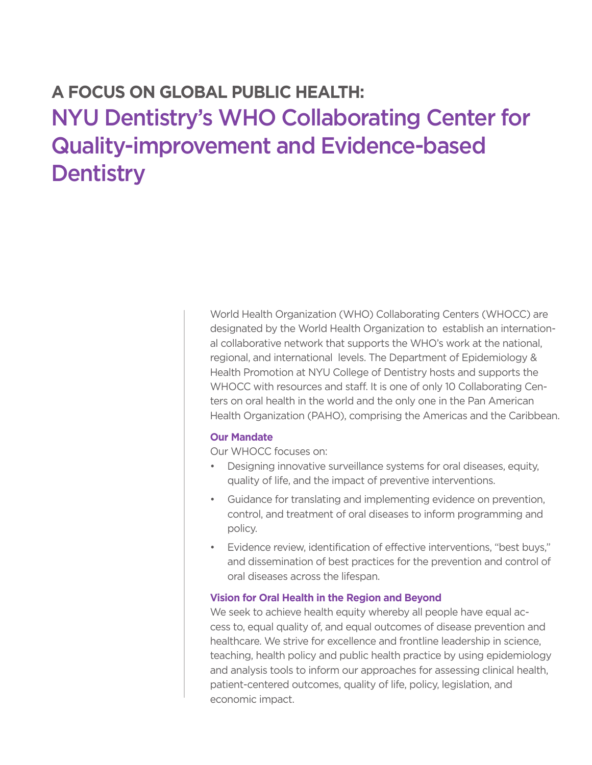# **A FOCUS ON GLOBAL PUBLIC HEALTH:**  NYU Dentistry's WHO Collaborating Center for Quality-improvement and Evidence-based **Dentistry**

World Health Organization (WHO) Collaborating Centers (WHOCC) are designated by the World Health Organization to establish an international collaborative network that supports the WHO's work at the national, regional, and international levels. The Department of Epidemiology & Health Promotion at NYU College of Dentistry hosts and supports the WHOCC with resources and staff. It is one of only 10 Collaborating Centers on oral health in the world and the only one in the Pan American Health Organization (PAHO), comprising the Americas and the Caribbean.

## **Our Mandate**

Our WHOCC focuses on:

- Designing innovative surveillance systems for oral diseases, equity, quality of life, and the impact of preventive interventions.
- Guidance for translating and implementing evidence on prevention, control, and treatment of oral diseases to inform programming and policy.
- Evidence review, identification of effective interventions, "best buys," and dissemination of best practices for the prevention and control of oral diseases across the lifespan.

### **Vision for Oral Health in the Region and Beyond**

We seek to achieve health equity whereby all people have equal access to, equal quality of, and equal outcomes of disease prevention and healthcare. We strive for excellence and frontline leadership in science, teaching, health policy and public health practice by using epidemiology and analysis tools to inform our approaches for assessing clinical health, patient-centered outcomes, quality of life, policy, legislation, and economic impact.